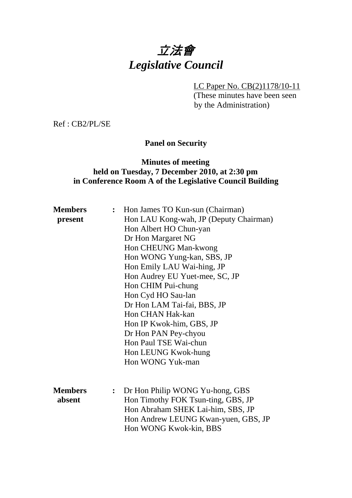# 立法會 *Legislative Council*

LC Paper No. CB(2)1178/10-11

(These minutes have been seen by the Administration)

Ref : CB2/PL/SE

# **Panel on Security**

## **Minutes of meeting held on Tuesday, 7 December 2010, at 2:30 pm in Conference Room A of the Legislative Council Building**

| <b>Members</b><br>present | $\ddot{\cdot}$ | Hon James TO Kun-sun (Chairman)<br>Hon LAU Kong-wah, JP (Deputy Chairman)<br>Hon Albert HO Chun-yan<br>Dr Hon Margaret NG<br>Hon CHEUNG Man-kwong<br>Hon WONG Yung-kan, SBS, JP<br>Hon Emily LAU Wai-hing, JP<br>Hon Audrey EU Yuet-mee, SC, JP<br>Hon CHIM Pui-chung<br>Hon Cyd HO Sau-lan<br>Dr Hon LAM Tai-fai, BBS, JP<br>Hon CHAN Hak-kan<br>Hon IP Kwok-him, GBS, JP<br>Dr Hon PAN Pey-chyou<br>Hon Paul TSE Wai-chun |
|---------------------------|----------------|-----------------------------------------------------------------------------------------------------------------------------------------------------------------------------------------------------------------------------------------------------------------------------------------------------------------------------------------------------------------------------------------------------------------------------|
|                           |                | Hon LEUNG Kwok-hung<br>Hon WONG Yuk-man                                                                                                                                                                                                                                                                                                                                                                                     |
| <b>Members</b><br>absent  | $\ddot{\cdot}$ | Dr Hon Philip WONG Yu-hong, GBS<br>Hon Timothy FOK Tsun-ting, GBS, JP<br>Hon Abraham SHEK Lai-him, SBS, JP<br>Hon Andrew LEUNG Kwan-yuen, GBS, JP<br>Hon WONG Kwok-kin, BBS                                                                                                                                                                                                                                                 |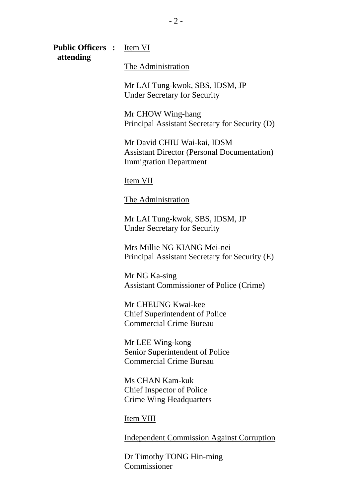**Public Officers :** Item VI  **attending** 

The Administration

Mr LAI Tung-kwok, SBS, IDSM, JP Under Secretary for Security

Mr CHOW Wing-hang Principal Assistant Secretary for Security (D)

Mr David CHIU Wai-kai, IDSM Assistant Director (Personal Documentation) Immigration Department

Item VII

#### The Administration

Mr LAI Tung-kwok, SBS, IDSM, JP Under Secretary for Security

Mrs Millie NG KIANG Mei-nei Principal Assistant Secretary for Security (E)

Mr NG Ka-sing Assistant Commissioner of Police (Crime)

Mr CHEUNG Kwai-kee Chief Superintendent of Police Commercial Crime Bureau

Mr LEE Wing-kong Senior Superintendent of Police Commercial Crime Bureau

Ms CHAN Kam-kuk Chief Inspector of Police Crime Wing Headquarters

Item VIII

Independent Commission Against Corruption

Dr Timothy TONG Hin-ming Commissioner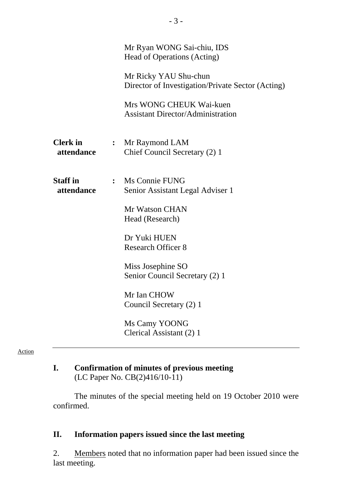|                               | Mr Ryan WONG Sai-chiu, IDS<br>Head of Operations (Acting)                  |
|-------------------------------|----------------------------------------------------------------------------|
|                               | Mr Ricky YAU Shu-chun<br>Director of Investigation/Private Sector (Acting) |
|                               | Mrs WONG CHEUK Wai-kuen<br><b>Assistant Director/Administration</b>        |
| <b>Clerk</b> in<br>attendance | : Mr Raymond LAM<br>Chief Council Secretary (2) 1                          |
| <b>Staff</b> in<br>attendance | : Ms Connie FUNG<br>Senior Assistant Legal Adviser 1                       |
|                               | Mr Watson CHAN<br>Head (Research)                                          |
|                               | Dr Yuki HUEN<br><b>Research Officer 8</b>                                  |
|                               | Miss Josephine SO<br>Senior Council Secretary (2) 1                        |
|                               | Mr Ian CHOW<br>Council Secretary (2) 1                                     |
|                               | Ms Camy YOONG<br>Clerical Assistant (2) 1                                  |

#### Action

# **I. Confirmation of minutes of previous meeting**  (LC Paper No. CB(2)416/10-11)

The minutes of the special meeting held on 19 October 2010 were confirmed.

## **II. Information papers issued since the last meeting**

2. Members noted that no information paper had been issued since the last meeting.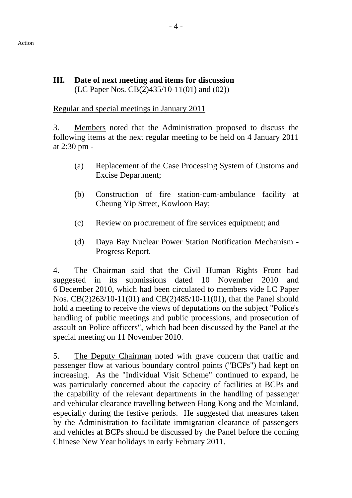#### **III. Date of next meeting and items for discussion**  (LC Paper Nos. CB(2)435/10-11(01) and (02))

#### Regular and special meetings in January 2011

3. Members noted that the Administration proposed to discuss the following items at the next regular meeting to be held on 4 January 2011 at 2:30 pm -

- (a) Replacement of the Case Processing System of Customs and Excise Department;
- (b) Construction of fire station-cum-ambulance facility at Cheung Yip Street, Kowloon Bay;
- (c) Review on procurement of fire services equipment; and
- (d) Daya Bay Nuclear Power Station Notification Mechanism Progress Report.

4. The Chairman said that the Civil Human Rights Front had suggested in its submissions dated 10 November 2010 and 6 December 2010, which had been circulated to members vide LC Paper Nos. CB(2)263/10-11(01) and CB(2)485/10-11(01), that the Panel should hold a meeting to receive the views of deputations on the subject "Police's handling of public meetings and public processions, and prosecution of assault on Police officers", which had been discussed by the Panel at the special meeting on 11 November 2010.

5. The Deputy Chairman noted with grave concern that traffic and passenger flow at various boundary control points ("BCPs") had kept on increasing. As the "Individual Visit Scheme" continued to expand, he was particularly concerned about the capacity of facilities at BCPs and the capability of the relevant departments in the handling of passenger and vehicular clearance travelling between Hong Kong and the Mainland, especially during the festive periods. He suggested that measures taken by the Administration to facilitate immigration clearance of passengers and vehicles at BCPs should be discussed by the Panel before the coming Chinese New Year holidays in early February 2011.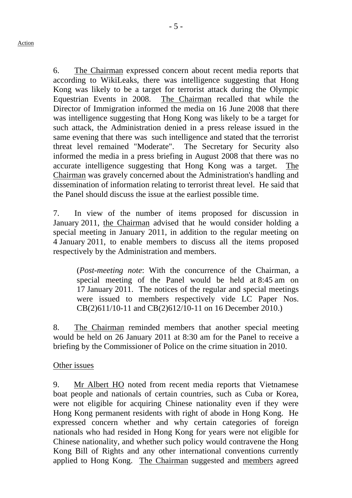6. The Chairman expressed concern about recent media reports that according to WikiLeaks, there was intelligence suggesting that Hong Kong was likely to be a target for terrorist attack during the Olympic Equestrian Events in 2008. The Chairman recalled that while the Director of Immigration informed the media on 16 June 2008 that there was intelligence suggesting that Hong Kong was likely to be a target for such attack, the Administration denied in a press release issued in the same evening that there was such intelligence and stated that the terrorist threat level remained "Moderate". The Secretary for Security also informed the media in a press briefing in August 2008 that there was no accurate intelligence suggesting that Hong Kong was a target. The Chairman was gravely concerned about the Administration's handling and dissemination of information relating to terrorist threat level. He said that the Panel should discuss the issue at the earliest possible time.

7. In view of the number of items proposed for discussion in January 2011, the Chairman advised that he would consider holding a special meeting in January 2011, in addition to the regular meeting on 4 January 2011, to enable members to discuss all the items proposed respectively by the Administration and members.

 (*Post-meeting note*: With the concurrence of the Chairman, a special meeting of the Panel would be held at 8:45 am on 17 January 2011. The notices of the regular and special meetings were issued to members respectively vide LC Paper Nos. CB(2)611/10-11 and CB(2)612/10-11 on 16 December 2010.)

8. The Chairman reminded members that another special meeting would be held on 26 January 2011 at 8:30 am for the Panel to receive a briefing by the Commissioner of Police on the crime situation in 2010.

#### Other issues

9. Mr Albert HO noted from recent media reports that Vietnamese boat people and nationals of certain countries, such as Cuba or Korea, were not eligible for acquiring Chinese nationality even if they were Hong Kong permanent residents with right of abode in Hong Kong. He expressed concern whether and why certain categories of foreign nationals who had resided in Hong Kong for years were not eligible for Chinese nationality, and whether such policy would contravene the Hong Kong Bill of Rights and any other international conventions currently applied to Hong Kong. The Chairman suggested and members agreed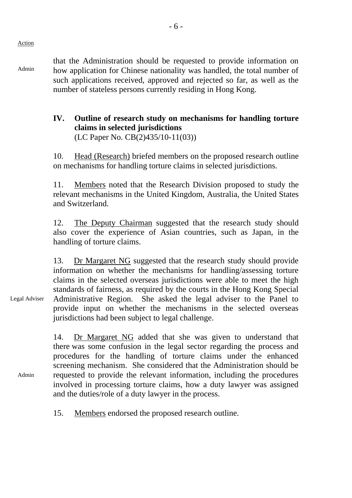Admin

that the Administration should be requested to provide information on how application for Chinese nationality was handled, the total number of such applications received, approved and rejected so far, as well as the number of stateless persons currently residing in Hong Kong.

#### **IV. Outline of research study on mechanisms for handling torture claims in selected jurisdictions**  (LC Paper No. CB(2)435/10-11(03))

10. Head (Research) briefed members on the proposed research outline

on mechanisms for handling torture claims in selected jurisdictions.

11. Members noted that the Research Division proposed to study the relevant mechanisms in the United Kingdom, Australia, the United States and Switzerland.

12. The Deputy Chairman suggested that the research study should also cover the experience of Asian countries, such as Japan, in the handling of torture claims.

Legal Adviser 13. Dr Margaret NG suggested that the research study should provide information on whether the mechanisms for handling/assessing torture claims in the selected overseas jurisdictions were able to meet the high standards of fairness, as required by the courts in the Hong Kong Special Administrative Region. She asked the legal adviser to the Panel to provide input on whether the mechanisms in the selected overseas jurisdictions had been subject to legal challenge.

> 14. Dr Margaret NG added that she was given to understand that there was some confusion in the legal sector regarding the process and procedures for the handling of torture claims under the enhanced screening mechanism. She considered that the Administration should be requested to provide the relevant information, including the procedures involved in processing torture claims, how a duty lawyer was assigned and the duties/role of a duty lawyer in the process.

15. Members endorsed the proposed research outline.

Admin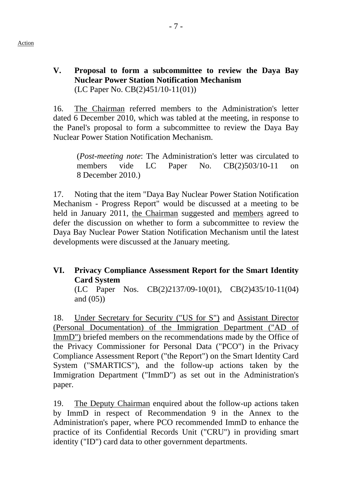#### **V. Proposal to form a subcommittee to review the Daya Bay Nuclear Power Station Notification Mechanism**  (LC Paper No. CB(2)451/10-11(01))

- 7 -

16. The Chairman referred members to the Administration's letter dated 6 December 2010, which was tabled at the meeting, in response to the Panel's proposal to form a subcommittee to review the Daya Bay Nuclear Power Station Notification Mechanism.

(*Post-meeting note*: The Administration's letter was circulated to members vide LC Paper No. CB(2)503/10-11 on 8 December 2010.)

17. Noting that the item "Daya Bay Nuclear Power Station Notification Mechanism - Progress Report" would be discussed at a meeting to be held in January 2011, the Chairman suggested and members agreed to defer the discussion on whether to form a subcommittee to review the Daya Bay Nuclear Power Station Notification Mechanism until the latest developments were discussed at the January meeting.

# **VI. Privacy Compliance Assessment Report for the Smart Identity Card System**

(LC Paper Nos. CB(2)2137/09-10(01), CB(2)435/10-11(04) and (05))

18. Under Secretary for Security ("US for S") and Assistant Director (Personal Documentation) of the Immigration Department ("AD of ImmD") briefed members on the recommendations made by the Office of the Privacy Commissioner for Personal Data ("PCO") in the Privacy Compliance Assessment Report ("the Report") on the Smart Identity Card System ("SMARTICS"), and the follow-up actions taken by the Immigration Department ("ImmD") as set out in the Administration's paper.

19. The Deputy Chairman enquired about the follow-up actions taken by ImmD in respect of Recommendation 9 in the Annex to the Administration's paper, where PCO recommended ImmD to enhance the practice of its Confidential Records Unit ("CRU") in providing smart identity ("ID") card data to other government departments.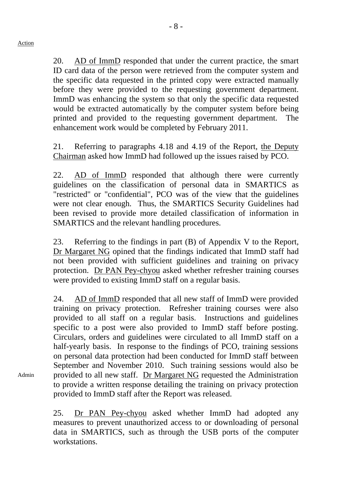20. AD of ImmD responded that under the current practice, the smart ID card data of the person were retrieved from the computer system and the specific data requested in the printed copy were extracted manually before they were provided to the requesting government department. ImmD was enhancing the system so that only the specific data requested would be extracted automatically by the computer system before being printed and provided to the requesting government department. The enhancement work would be completed by February 2011.

21. Referring to paragraphs 4.18 and 4.19 of the Report, the Deputy Chairman asked how ImmD had followed up the issues raised by PCO.

22. AD of ImmD responded that although there were currently guidelines on the classification of personal data in SMARTICS as "restricted" or "confidential", PCO was of the view that the guidelines were not clear enough. Thus, the SMARTICS Security Guidelines had been revised to provide more detailed classification of information in SMARTICS and the relevant handling procedures.

23. Referring to the findings in part (B) of Appendix V to the Report, Dr Margaret NG opined that the findings indicated that ImmD staff had not been provided with sufficient guidelines and training on privacy protection. Dr PAN Pey-chyou asked whether refresher training courses were provided to existing ImmD staff on a regular basis.

24. AD of ImmD responded that all new staff of ImmD were provided training on privacy protection. Refresher training courses were also provided to all staff on a regular basis. Instructions and guidelines specific to a post were also provided to ImmD staff before posting. Circulars, orders and guidelines were circulated to all ImmD staff on a half-yearly basis. In response to the findings of PCO, training sessions on personal data protection had been conducted for ImmD staff between September and November 2010. Such training sessions would also be provided to all new staff. Dr Margaret NG requested the Administration to provide a written response detailing the training on privacy protection provided to ImmD staff after the Report was released.

25. Dr PAN Pey-chyou asked whether ImmD had adopted any measures to prevent unauthorized access to or downloading of personal data in SMARTICS, such as through the USB ports of the computer workstations.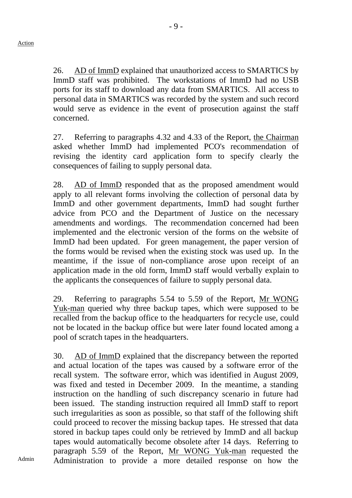26. AD of ImmD explained that unauthorized access to SMARTICS by ImmD staff was prohibited. The workstations of ImmD had no USB ports for its staff to download any data from SMARTICS. All access to personal data in SMARTICS was recorded by the system and such record would serve as evidence in the event of prosecution against the staff concerned.

27. Referring to paragraphs 4.32 and 4.33 of the Report, the Chairman asked whether ImmD had implemented PCO's recommendation of revising the identity card application form to specify clearly the consequences of failing to supply personal data.

28. AD of ImmD responded that as the proposed amendment would apply to all relevant forms involving the collection of personal data by ImmD and other government departments, ImmD had sought further advice from PCO and the Department of Justice on the necessary amendments and wordings. The recommendation concerned had been implemented and the electronic version of the forms on the website of ImmD had been updated. For green management, the paper version of the forms would be revised when the existing stock was used up. In the meantime, if the issue of non-compliance arose upon receipt of an application made in the old form, ImmD staff would verbally explain to the applicants the consequences of failure to supply personal data.

29. Referring to paragraphs 5.54 to 5.59 of the Report, Mr WONG Yuk-man queried why three backup tapes, which were supposed to be recalled from the backup office to the headquarters for recycle use, could not be located in the backup office but were later found located among a pool of scratch tapes in the headquarters.

30. AD of ImmD explained that the discrepancy between the reported and actual location of the tapes was caused by a software error of the recall system. The software error, which was identified in August 2009, was fixed and tested in December 2009. In the meantime, a standing instruction on the handling of such discrepancy scenario in future had been issued. The standing instruction required all ImmD staff to report such irregularities as soon as possible, so that staff of the following shift could proceed to recover the missing backup tapes. He stressed that data stored in backup tapes could only be retrieved by ImmD and all backup tapes would automatically become obsolete after 14 days. Referring to paragraph 5.59 of the Report, Mr WONG Yuk-man requested the Administration to provide a more detailed response on how the

Admin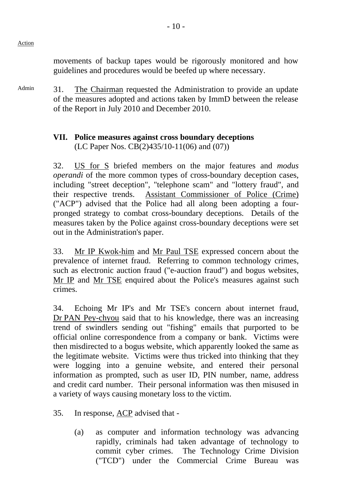Action

movements of backup tapes would be rigorously monitored and how guidelines and procedures would be beefed up where necessary.

Admin 31. The Chairman requested the Administration to provide an update of the measures adopted and actions taken by ImmD between the release of the Report in July 2010 and December 2010.

## **VII. Police measures against cross boundary deceptions**  (LC Paper Nos. CB(2)435/10-11(06) and (07))

32. US for S briefed members on the major features and *modus operandi* of the more common types of cross-boundary deception cases, including "street deception", "telephone scam" and "lottery fraud", and their respective trends. Assistant Commissioner of Police (Crime) ("ACP") advised that the Police had all along been adopting a fourpronged strategy to combat cross-boundary deceptions. Details of the measures taken by the Police against cross-boundary deceptions were set out in the Administration's paper.

33. Mr IP Kwok-him and Mr Paul TSE expressed concern about the prevalence of internet fraud. Referring to common technology crimes, such as electronic auction fraud ("e-auction fraud") and bogus websites, Mr IP and Mr TSE enquired about the Police's measures against such crimes.

34. Echoing Mr IP's and Mr TSE's concern about internet fraud, Dr PAN Pey-chyou said that to his knowledge, there was an increasing trend of swindlers sending out "fishing" emails that purported to be official online correspondence from a company or bank. Victims were then misdirected to a bogus website, which apparently looked the same as the legitimate website. Victims were thus tricked into thinking that they were logging into a genuine website, and entered their personal information as prompted, such as user ID, PIN number, name, address and credit card number. Their personal information was then misused in a variety of ways causing monetary loss to the victim.

- 35. In response, ACP advised that
	- (a) as computer and information technology was advancing rapidly, criminals had taken advantage of technology to commit cyber crimes. The Technology Crime Division ("TCD") under the Commercial Crime Bureau was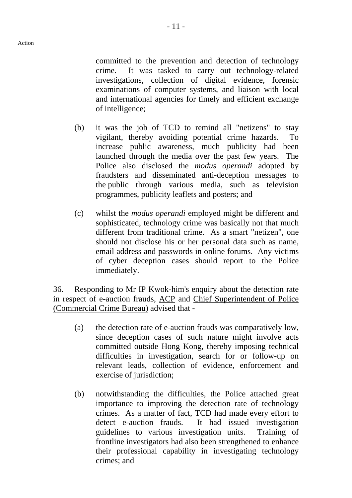- 11 -

committed to the prevention and detection of technology crime. It was tasked to carry out technology-related investigations, collection of digital evidence, forensic examinations of computer systems, and liaison with local and international agencies for timely and efficient exchange of intelligence;

- (b) it was the job of TCD to remind all "netizens" to stay vigilant, thereby avoiding potential crime hazards. To increase public awareness, much publicity had been launched through the media over the past few years. The Police also disclosed the *modus operandi* adopted by fraudsters and disseminated anti-deception messages to the public through various media, such as television programmes, publicity leaflets and posters; and
- (c) whilst the *modus operandi* employed might be different and sophisticated, technology crime was basically not that much different from traditional crime. As a smart "netizen", one should not disclose his or her personal data such as name, email address and passwords in online forums. Any victims of cyber deception cases should report to the Police immediately.

36. Responding to Mr IP Kwok-him's enquiry about the detection rate in respect of e-auction frauds, ACP and Chief Superintendent of Police (Commercial Crime Bureau) advised that -

- (a) the detection rate of e-auction frauds was comparatively low, since deception cases of such nature might involve acts committed outside Hong Kong, thereby imposing technical difficulties in investigation, search for or follow-up on relevant leads, collection of evidence, enforcement and exercise of jurisdiction;
- (b) notwithstanding the difficulties, the Police attached great importance to improving the detection rate of technology crimes. As a matter of fact, TCD had made every effort to detect e-auction frauds. It had issued investigation guidelines to various investigation units. Training of frontline investigators had also been strengthened to enhance their professional capability in investigating technology crimes; and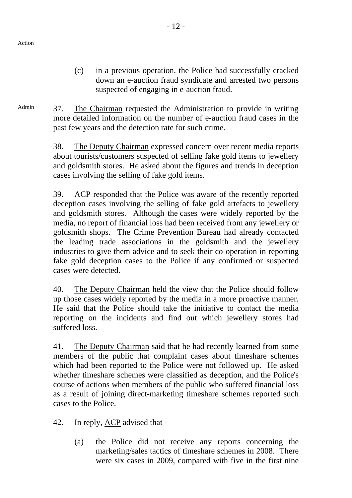#### (c) in a previous operation, the Police had successfully cracked down an e-auction fraud syndicate and arrested two persons suspected of engaging in e-auction fraud.

Admin 37. The Chairman requested the Administration to provide in writing more detailed information on the number of e-auction fraud cases in the past few years and the detection rate for such crime.

> 38. The Deputy Chairman expressed concern over recent media reports about tourists/customers suspected of selling fake gold items to jewellery and goldsmith stores. He asked about the figures and trends in deception cases involving the selling of fake gold items.

> 39. ACP responded that the Police was aware of the recently reported deception cases involving the selling of fake gold artefacts to jewellery and goldsmith stores. Although the cases were widely reported by the media, no report of financial loss had been received from any jewellery or goldsmith shops. The Crime Prevention Bureau had already contacted the leading trade associations in the goldsmith and the jewellery industries to give them advice and to seek their co-operation in reporting fake gold deception cases to the Police if any confirmed or suspected cases were detected.

> 40. The Deputy Chairman held the view that the Police should follow up those cases widely reported by the media in a more proactive manner. He said that the Police should take the initiative to contact the media reporting on the incidents and find out which jewellery stores had suffered loss.

> 41. The Deputy Chairman said that he had recently learned from some members of the public that complaint cases about timeshare schemes which had been reported to the Police were not followed up. He asked whether timeshare schemes were classified as deception, and the Police's course of actions when members of the public who suffered financial loss as a result of joining direct-marketing timeshare schemes reported such cases to the Police.

42. In reply, ACP advised that -

(a) the Police did not receive any reports concerning the marketing/sales tactics of timeshare schemes in 2008. There were six cases in 2009, compared with five in the first nine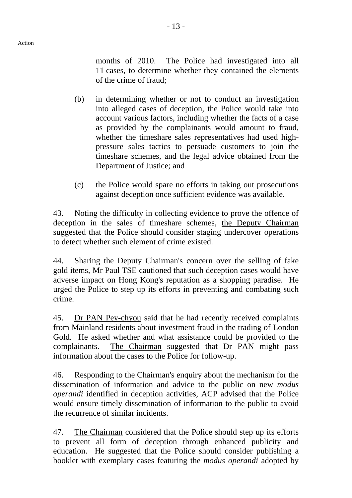- 13 -

months of 2010. The Police had investigated into all 11 cases, to determine whether they contained the elements of the crime of fraud;

- (b) in determining whether or not to conduct an investigation into alleged cases of deception, the Police would take into account various factors, including whether the facts of a case as provided by the complainants would amount to fraud, whether the timeshare sales representatives had used highpressure sales tactics to persuade customers to join the timeshare schemes, and the legal advice obtained from the Department of Justice; and
- (c) the Police would spare no efforts in taking out prosecutions against deception once sufficient evidence was available.

43. Noting the difficulty in collecting evidence to prove the offence of deception in the sales of timeshare schemes, the Deputy Chairman suggested that the Police should consider staging undercover operations to detect whether such element of crime existed.

44. Sharing the Deputy Chairman's concern over the selling of fake gold items, Mr Paul TSE cautioned that such deception cases would have adverse impact on Hong Kong's reputation as a shopping paradise. He urged the Police to step up its efforts in preventing and combating such crime.

45. Dr PAN Pey-chyou said that he had recently received complaints from Mainland residents about investment fraud in the trading of London Gold. He asked whether and what assistance could be provided to the complainants. The Chairman suggested that Dr PAN might pass information about the cases to the Police for follow-up.

46. Responding to the Chairman's enquiry about the mechanism for the dissemination of information and advice to the public on new *modus operandi* identified in deception activities, ACP advised that the Police would ensure timely dissemination of information to the public to avoid the recurrence of similar incidents.

47. The Chairman considered that the Police should step up its efforts to prevent all form of deception through enhanced publicity and education. He suggested that the Police should consider publishing a booklet with exemplary cases featuring the *modus operandi* adopted by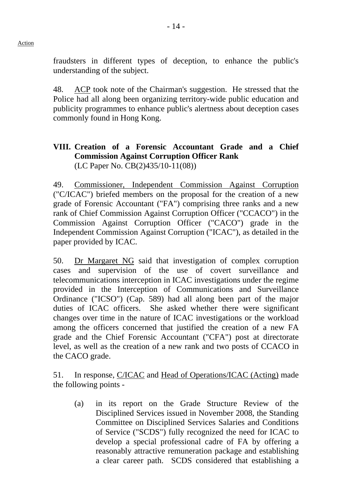fraudsters in different types of deception, to enhance the public's understanding of the subject.

48. ACP took note of the Chairman's suggestion. He stressed that the Police had all along been organizing territory-wide public education and publicity programmes to enhance public's alertness about deception cases commonly found in Hong Kong.

## **VIII. Creation of a Forensic Accountant Grade and a Chief Commission Against Corruption Officer Rank**  (LC Paper No. CB(2)435/10-11(08))

49. Commissioner, Independent Commission Against Corruption ("C/ICAC") briefed members on the proposal for the creation of a new grade of Forensic Accountant ("FA") comprising three ranks and a new rank of Chief Commission Against Corruption Officer ("CCACO") in the Commission Against Corruption Officer ("CACO") grade in the Independent Commission Against Corruption ("ICAC"), as detailed in the paper provided by ICAC.

50. Dr Margaret NG said that investigation of complex corruption cases and supervision of the use of covert surveillance and telecommunications interception in ICAC investigations under the regime provided in the Interception of Communications and Surveillance Ordinance ("ICSO") (Cap. 589) had all along been part of the major duties of ICAC officers. She asked whether there were significant changes over time in the nature of ICAC investigations or the workload among the officers concerned that justified the creation of a new FA grade and the Chief Forensic Accountant ("CFA") post at directorate level, as well as the creation of a new rank and two posts of CCACO in the CACO grade.

51. In response, C/ICAC and Head of Operations/ICAC (Acting) made the following points -

(a) in its report on the Grade Structure Review of the Disciplined Services issued in November 2008, the Standing Committee on Disciplined Services Salaries and Conditions of Service ("SCDS") fully recognized the need for ICAC to develop a special professional cadre of FA by offering a reasonably attractive remuneration package and establishing a clear career path. SCDS considered that establishing a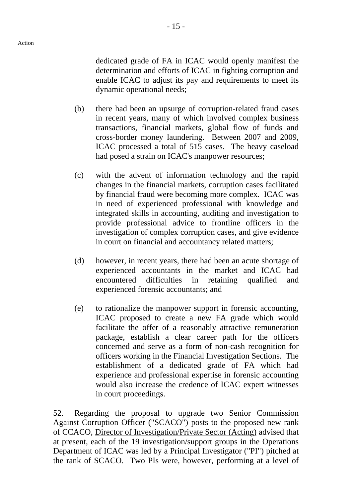dedicated grade of FA in ICAC would openly manifest the determination and efforts of ICAC in fighting corruption and enable ICAC to adjust its pay and requirements to meet its dynamic operational needs;

- (b) there had been an upsurge of corruption-related fraud cases in recent years, many of which involved complex business transactions, financial markets, global flow of funds and cross-border money laundering. Between 2007 and 2009, ICAC processed a total of 515 cases. The heavy caseload had posed a strain on ICAC's manpower resources;
- (c) with the advent of information technology and the rapid changes in the financial markets, corruption cases facilitated by financial fraud were becoming more complex. ICAC was in need of experienced professional with knowledge and integrated skills in accounting, auditing and investigation to provide professional advice to frontline officers in the investigation of complex corruption cases, and give evidence in court on financial and accountancy related matters;
- (d) however, in recent years, there had been an acute shortage of experienced accountants in the market and ICAC had encountered difficulties in retaining qualified and experienced forensic accountants; and
- (e) to rationalize the manpower support in forensic accounting, ICAC proposed to create a new FA grade which would facilitate the offer of a reasonably attractive remuneration package, establish a clear career path for the officers concerned and serve as a form of non-cash recognition for officers working in the Financial Investigation Sections. The establishment of a dedicated grade of FA which had experience and professional expertise in forensic accounting would also increase the credence of ICAC expert witnesses in court proceedings.

52. Regarding the proposal to upgrade two Senior Commission Against Corruption Officer ("SCACO") posts to the proposed new rank of CCACO, Director of Investigation/Private Sector (Acting) advised that at present, each of the 19 investigation/support groups in the Operations Department of ICAC was led by a Principal Investigator ("PI") pitched at the rank of SCACO. Two PIs were, however, performing at a level of